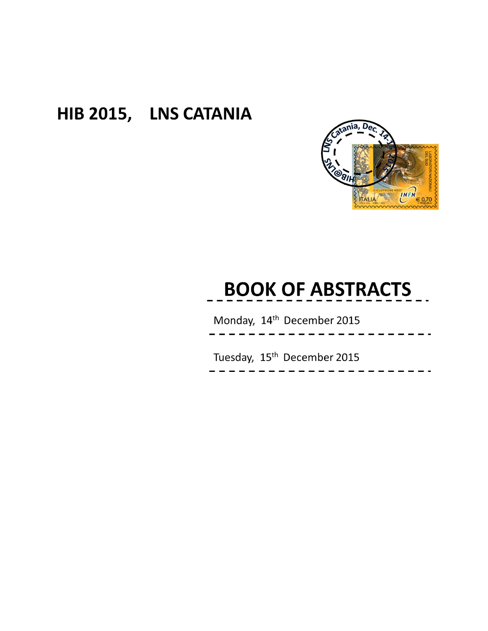## HIB 2015, LNS CATANIA



# **BOOK OF ABSTRACTS**

Monday, 14th December 2015

Tuesday, 15<sup>th</sup> December 2015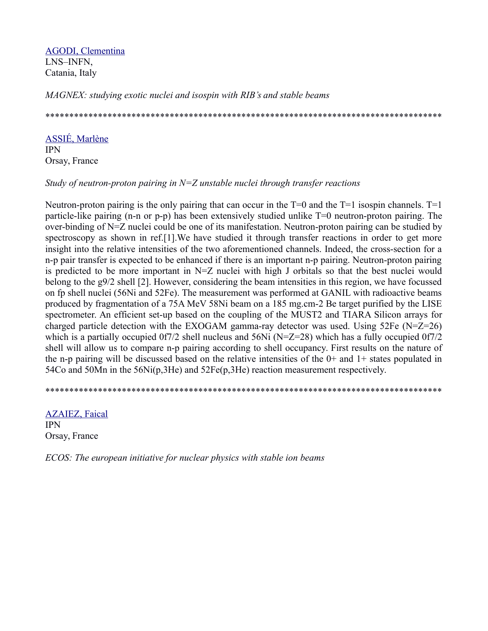[AGODI, Clementina](https://agenda.infn.it/confModifRegistrants.py/modification?registrantId=30&confId=10053) LNS–INFN, Catania, Italy

*MAGNEX: studying exotic nuclei and isospin with RIB's and stable beams*

\*\*\*\*\*\*\*\*\*\*\*\*\*\*\*\*\*\*\*\*\*\*\*\*\*\*\*\*\*\*\*\*\*\*\*\*\*\*\*\*\*\*\*\*\*\*\*\*\*\*\*\*\*\*\*\*\*\*\*\*\*\*\*\*\*\*\*\*\*\*\*\*\*\*\*\*\*\*\*\*\*\*\*

[ASSIÉ, Marlène](https://agenda.infn.it/confModifRegistrants.py/modification?registrantId=48&confId=10053) IPN Orsay, France

*Study of neutron-proton pairing in N=Z unstable nuclei through transfer reactions*

Neutron-proton pairing is the only pairing that can occur in the  $T=0$  and the  $T=1$  isospin channels.  $T=1$ particle-like pairing (n-n or p-p) has been extensively studied unlike T=0 neutron-proton pairing. The over-binding of N=Z nuclei could be one of its manifestation. Neutron-proton pairing can be studied by spectroscopy as shown in ref.[1].We have studied it through transfer reactions in order to get more insight into the relative intensities of the two aforementioned channels. Indeed, the cross-section for a n-p pair transfer is expected to be enhanced if there is an important n-p pairing. Neutron-proton pairing is predicted to be more important in  $N=Z$  nuclei with high J orbitals so that the best nuclei would belong to the g9/2 shell [2]. However, considering the beam intensities in this region, we have focussed on fp shell nuclei (56Ni and 52Fe). The measurement was performed at GANIL with radioactive beams produced by fragmentation of a 75A MeV 58Ni beam on a 185 mg.cm-2 Be target purified by the LISE spectrometer. An efficient set-up based on the coupling of the MUST2 and TIARA Silicon arrays for charged particle detection with the EXOGAM gamma-ray detector was used. Using 52Fe (N=Z=26) which is a partially occupied 0f7/2 shell nucleus and 56Ni (N=Z=28) which has a fully occupied 0f7/2 shell will allow us to compare n-p pairing according to shell occupancy. First results on the nature of the n-p pairing will be discussed based on the relative intensities of the  $0+$  and  $1+$  states populated in 54Co and 50Mn in the 56Ni(p,3He) and 52Fe(p,3He) reaction measurement respectively.

\*\*\*\*\*\*\*\*\*\*\*\*\*\*\*\*\*\*\*\*\*\*\*\*\*\*\*\*\*\*\*\*\*\*\*\*\*\*\*\*\*\*\*\*\*\*\*\*\*\*\*\*\*\*\*\*\*\*\*\*\*\*\*\*\*\*\*\*\*\*\*\*\*\*\*\*\*\*\*\*\*\*\*

[AZAIEZ, Faical](https://agenda.infn.it/confModifRegistrants.py/modification?registrantId=16&confId=10053) IPN Orsay, France

*ECOS: The european initiative for nuclear physics with stable ion beams*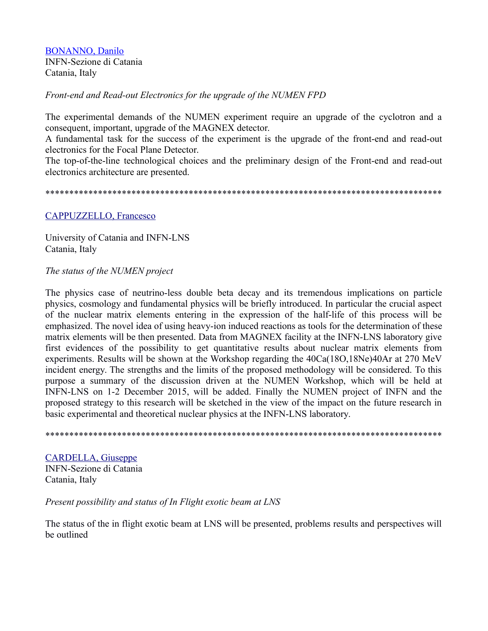BONANNO, Danilo INFN-Sezione di Catania Catania, Italy

*Front-end and Read-out Electronics for the upgrade of the NUMEN FPD*

The experimental demands of the NUMEN experiment require an upgrade of the cyclotron and a consequent, important, upgrade of the MAGNEX detector.

A fundamental task for the success of the experiment is the upgrade of the front-end and read-out electronics for the Focal Plane Detector.

The top-of-the-line technological choices and the preliminary design of the Front-end and read-out electronics architecture are presented.

\*\*\*\*\*\*\*\*\*\*\*\*\*\*\*\*\*\*\*\*\*\*\*\*\*\*\*\*\*\*\*\*\*\*\*\*\*\*\*\*\*\*\*\*\*\*\*\*\*\*\*\*\*\*\*\*\*\*\*\*\*\*\*\*\*\*\*\*\*\*\*\*\*\*\*\*\*\*\*\*\*\*\*

#### [CAPPUZZELLO, Francesco](https://agenda.infn.it/confModifRegistrants.py/modification?registrantId=5&confId=10053)

University of Catania and INFN-LNS Catania, Italy

#### *The status of the NUMEN project*

The physics case of neutrino-less double beta decay and its tremendous implications on particle physics, cosmology and fundamental physics will be briefly introduced. In particular the crucial aspect of the nuclear matrix elements entering in the expression of the half-life of this process will be emphasized. The novel idea of using heavy-ion induced reactions as tools for the determination of these matrix elements will be then presented. Data from MAGNEX facility at the INFN-LNS laboratory give first evidences of the possibility to get quantitative results about nuclear matrix elements from experiments. Results will be shown at the Workshop regarding the 40Ca(18O,18Ne)40Ar at 270 MeV incident energy. The strengths and the limits of the proposed methodology will be considered. To this purpose a summary of the discussion driven at the NUMEN Workshop, which will be held at INFN-LNS on 1-2 December 2015, will be added. Finally the NUMEN project of INFN and the proposed strategy to this research will be sketched in the view of the impact on the future research in basic experimental and theoretical nuclear physics at the INFN-LNS laboratory.

\*\*\*\*\*\*\*\*\*\*\*\*\*\*\*\*\*\*\*\*\*\*\*\*\*\*\*\*\*\*\*\*\*\*\*\*\*\*\*\*\*\*\*\*\*\*\*\*\*\*\*\*\*\*\*\*\*\*\*\*\*\*\*\*\*\*\*\*\*\*\*\*\*\*\*\*\*\*\*\*\*\*\*

[CARDELLA, Giuseppe](https://agenda.infn.it/confModifRegistrants.py/modification?registrantId=4&confId=10053) INFN-Sezione di Catania Catania, Italy

#### *Present possibility and status of In Flight exotic beam at LNS*

The status of the in flight exotic beam at LNS will be presented, problems results and perspectives will be outlined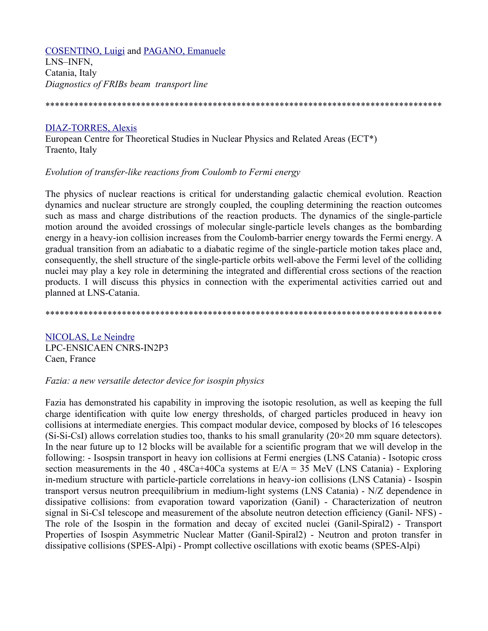**COSENTINO, Luigi and PAGANO, Emanuele** LNS-INFN, Catania, Italy Diagnostics of FRIBs beam transport line

#### 

#### **DIAZ-TORRES, Alexis**

European Centre for Theoretical Studies in Nuclear Physics and Related Areas (ECT\*) Traento, Italy

#### Evolution of transfer-like reactions from Coulomb to Fermi energy

The physics of nuclear reactions is critical for understanding galactic chemical evolution. Reaction dynamics and nuclear structure are strongly coupled, the coupling determining the reaction outcomes such as mass and charge distributions of the reaction products. The dynamics of the single-particle motion around the avoided crossings of molecular single-particle levels changes as the bombarding energy in a heavy-ion collision increases from the Coulomb-barrier energy towards the Fermi energy. A gradual transition from an adiabatic to a diabatic regime of the single-particle motion takes place and, consequently, the shell structure of the single-particle orbits well-above the Fermi level of the colliding nuclei may play a key role in determining the integrated and differential cross sections of the reaction products. I will discuss this physics in connection with the experimental activities carried out and planned at LNS-Catania.

NICOLAS, Le Neindre LPC-ENSICAEN CNRS-IN2P3 Caen, France

#### Fazia: a new versatile detector device for isospin physics

Fazia has demonstrated his capability in improving the isotopic resolution, as well as keeping the full charge identification with quite low energy thresholds, of charged particles produced in heavy ion collisions at intermediate energies. This compact modular device, composed by blocks of 16 telescopes  $(Si-Si-CsI)$  allows correlation studies too, thanks to his small granularity ( $20 \times 20$  mm square detectors). In the near future up to 12 blocks will be available for a scientific program that we will develop in the following: - Isospsin transport in heavy ion collisions at Fermi energies (LNS Catania) - Isotopic cross section measurements in the 40, 48Ca+40Ca systems at  $E/A = 35$  MeV (LNS Catania) - Exploring in-medium structure with particle-particle correlations in heavy-ion collisions (LNS Catania) - Isospin transport versus neutron preequilibrium in medium-light systems (LNS Catania) - N/Z dependence in dissipative collisions: from evaporation toward vaporization (Ganil) - Characterization of neutron signal in Si-CsI telescope and measurement of the absolute neutron detection efficiency (Ganil-NFS) -The role of the Isospin in the formation and decay of excited nuclei (Ganil-Spiral2) - Transport Properties of Isospin Asymmetric Nuclear Matter (Ganil-Spiral2) - Neutron and proton transfer in dissipative collisions (SPES-Alpi) - Prompt collective oscillations with exotic beams (SPES-Alpi)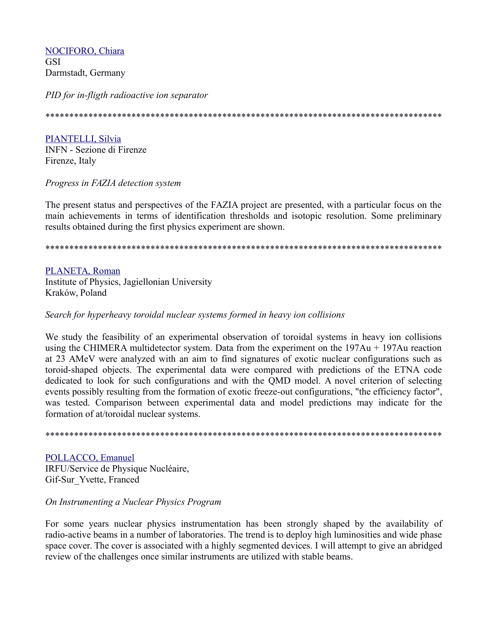**NOCIFORO, Chiara GSI** Darmstadt, Germany

PID for in-fligth radioactive ion separator

### **PIANTELLI, Silvia**

**INFN** - Sezione di Firenze Firenze, Italy

Progress in FAZIA detection system

The present status and perspectives of the FAZIA project are presented, with a particular focus on the main achievements in terms of identification thresholds and isotopic resolution. Some preliminary results obtained during the first physics experiment are shown.

PLANETA, Roman Institute of Physics, Jagiellonian University Kraków, Poland

Search for hyperheavy toroidal nuclear systems formed in heavy ion collisions

We study the feasibility of an experimental observation of toroidal systems in heavy ion collisions using the CHIMERA multidetector system. Data from the experiment on the  $197Au + 197Au$  reaction at 23 AMeV were analyzed with an aim to find signatures of exotic nuclear configurations such as toroid-shaped objects. The experimental data were compared with predictions of the ETNA code dedicated to look for such configurations and with the QMD model. A novel criterion of selecting events possibly resulting from the formation of exotic freeze-out configurations, "the efficiency factor", was tested. Comparison between experimental data and model predictions may indicate for the formation of at/toroidal nuclear systems.

POLLACCO, Emanuel IRFU/Service de Physique Nucléaire, Gif-Sur Yvette, Franced

#### On Instrumenting a Nuclear Physics Program

For some years nuclear physics instrumentation has been strongly shaped by the availability of radio-active beams in a number of laboratories. The trend is to deploy high luminosities and wide phase space cover. The cover is associated with a highly segmented devices. I will attempt to give an abridged review of the challenges once similar instruments are utilized with stable beams.